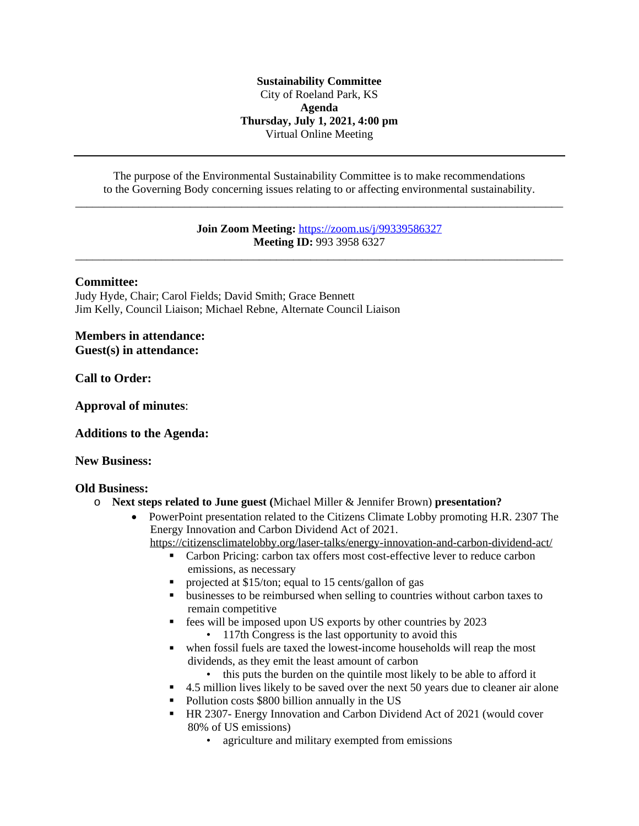### **Sustainability Committee** City of Roeland Park, KS **Agenda Thursday, July 1, 2021, 4:00 pm** Virtual Online Meeting

The purpose of the Environmental Sustainability Committee is to make recommendations to the Governing Body concerning issues relating to or affecting environmental sustainability. \_\_\_\_\_\_\_\_\_\_\_\_\_\_\_\_\_\_\_\_\_\_\_\_\_\_\_\_\_\_\_\_\_\_\_\_\_\_\_\_\_\_\_\_\_\_\_\_\_\_\_\_\_\_\_\_\_\_\_\_\_\_\_\_\_\_\_\_\_\_\_\_\_\_\_\_\_\_\_\_\_\_\_\_\_

> **Join Zoom Meeting:** <https://zoom.us/j/99339586327> **[Meeting ID:](https://zoom.us/j/99339586327)** [993 3958 6327](https://zoom.us/j/99339586327)

[\\_\\_\\_\\_\\_\\_\\_\\_\\_\\_\\_\\_\\_\\_\\_\\_\\_\\_\\_\\_\\_\\_\\_\\_\\_\\_\\_\\_\\_\\_\\_\\_\\_\\_\\_\\_\\_\\_\\_\\_\\_\\_\\_\\_\\_\\_\\_\\_\\_\\_\\_\\_\\_\\_\\_\\_\\_\\_\\_\\_\\_\\_\\_\\_\\_\\_\\_\\_\\_\\_\\_\\_\\_\\_\\_\\_\\_\\_\\_\\_\\_\\_\\_\\_\\_](https://zoom.us/j/99339586327)

#### **[Committee:](https://zoom.us/j/99339586327)**

[Judy Hyde, Chair; Carol Fields; David Smith; Grace Bennett](https://zoom.us/j/99339586327) [Jim Kelly, Council Liaison; Michael Rebne, Alternate Council Liaison](https://zoom.us/j/99339586327)

**[Members in attendance:](https://zoom.us/j/99339586327) [Guest\(s\)](https://zoom.us/j/99339586327) [in attendance:](https://zoom.us/j/99339586327)**

**[Call to Order:](https://zoom.us/j/99339586327)**

**[Approval of minutes](https://zoom.us/j/99339586327)**[:](https://zoom.us/j/99339586327)

**[Additions to the Agenda:](https://zoom.us/j/99339586327)**

### **[New Business:](https://zoom.us/j/99339586327)**

### **[Old Business:](https://zoom.us/j/99339586327)**

- o **[Next steps related to June guest \(](https://zoom.us/j/99339586327)**[Michael Miller & Jennifer Brown\)](https://zoom.us/j/99339586327) **[presentation?](https://zoom.us/j/99339586327)**
	- [PowerPoint](https://zoom.us/j/99339586327) presentation related to the Citizens Climate Lobby promoting H.R. 2307 The [Energy Innovation and Carbon Dividend Act of 2021.](https://zoom.us/j/99339586327)
		- <https://citizensclimatelobby.org/laser-talks/energy-innovation-and-carbon-dividend-act/>
			- [Carbon Pricing: carbon tax offers most cost-effective lever to reduce carbon](https://citizensclimatelobby.org/laser-talks/energy-innovation-and-carbon-dividend-act/)  [emissions, as necessary](https://citizensclimatelobby.org/laser-talks/energy-innovation-and-carbon-dividend-act/)
			- **PEDRIM** [projected at \\$15/ton;](https://citizensclimatelobby.org/laser-talks/energy-innovation-and-carbon-dividend-act/) [equal to 15 cents/gallon of gas](https://citizensclimatelobby.org/laser-talks/energy-innovation-and-carbon-dividend-act/)
			- [businesses to be reimbursed when selling to countries without carbon taxes to](https://citizensclimatelobby.org/laser-talks/energy-innovation-and-carbon-dividend-act/)  [remain competitive](https://citizensclimatelobby.org/laser-talks/energy-innovation-and-carbon-dividend-act/)
			- **[fees will be imposed upon US exports by other countries by 2023](https://citizensclimatelobby.org/laser-talks/energy-innovation-and-carbon-dividend-act/)** • [117th Congress is the last opportunity to avoid this](https://citizensclimatelobby.org/laser-talks/energy-innovation-and-carbon-dividend-act/)
			- [when fossil fuels are taxed the lowest-income households will reap the most](https://citizensclimatelobby.org/laser-talks/energy-innovation-and-carbon-dividend-act/)  [dividends, as they emit the least amount of carbon](https://citizensclimatelobby.org/laser-talks/energy-innovation-and-carbon-dividend-act/)
				- [this puts the burden on the quintile most likely to be able to afford it](https://citizensclimatelobby.org/laser-talks/energy-innovation-and-carbon-dividend-act/)
			- [4.5 million lives likely to be saved over the next 50 years due to cleaner air alone](https://citizensclimatelobby.org/laser-talks/energy-innovation-and-carbon-dividend-act/)
			- [Pollution costs \\$800 billion annually in the US](https://citizensclimatelobby.org/laser-talks/energy-innovation-and-carbon-dividend-act/)
			- [HR 2307- Energy Innovation and Carbon Dividend Act of 2021 \(would cover](https://citizensclimatelobby.org/laser-talks/energy-innovation-and-carbon-dividend-act/)  [80% of US emissions\)](https://citizensclimatelobby.org/laser-talks/energy-innovation-and-carbon-dividend-act/)
				- [agriculture and military exempted from emissions](https://citizensclimatelobby.org/laser-talks/energy-innovation-and-carbon-dividend-act/)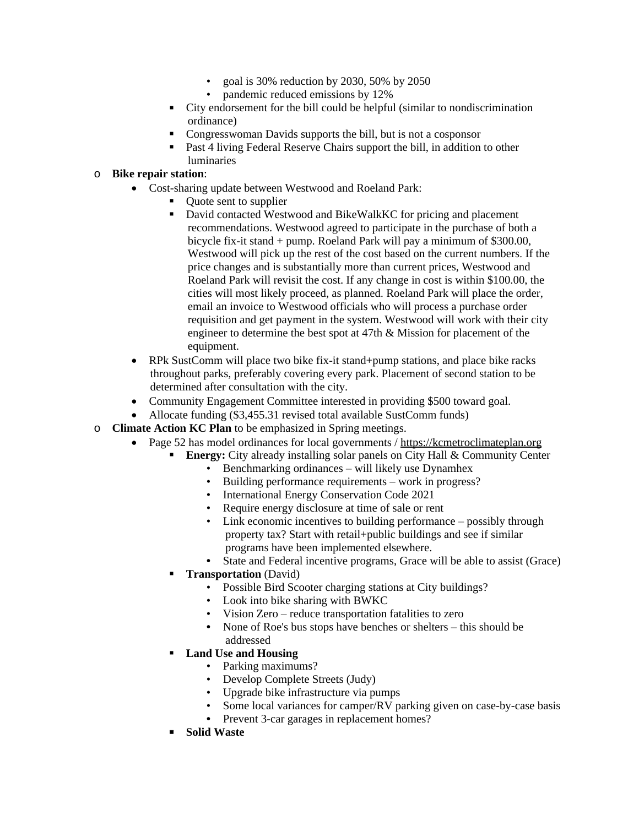- goal is 30% reduction by 2030, 50% by 2050
- pandemic reduced emissions by 12%
- City endorsement for the bill could be helpful (similar to nondiscrimination ordinance)
- Congresswoman Davids supports the bill, but is not a cosponsor
- **Past 4 living Federal Reserve Chairs support the bill, in addition to other** luminaries

## o **Bike repair station**:

- Cost-sharing update between Westwood and Roeland Park:
	- Quote sent to supplier
	- David contacted Westwood and BikeWalkKC for pricing and placement recommendations. Westwood agreed to participate in the purchase of both a bicycle fix-it stand + pump. Roeland Park will pay a minimum of \$300.00, Westwood will pick up the rest of the cost based on the current numbers. If the price changes and is substantially more than current prices, Westwood and Roeland Park will revisit the cost. If any change in cost is within \$100.00, the cities will most likely proceed, as planned. Roeland Park will place the order, email an invoice to Westwood officials who will process a purchase order requisition and get payment in the system. Westwood will work with their city engineer to determine the best spot at 47th & Mission for placement of the equipment.
- RPk SustComm will place two bike fix-it stand+pump stations, and place bike racks throughout parks, preferably covering every park. Placement of second station to be determined after consultation with the city.
- Community Engagement Committee interested in providing \$500 toward goal.
- Allocate funding (\$3,455.31 revised total available SustComm funds)
- o **Climate Action KC Plan** to be emphasized in Spring meetings.
	- Page 52 has model ordinances for local governments / [https://kcmetroclimateplan.org](https://kcmetroclimateplan.org/)
		- **[Energy:](https://kcmetroclimateplan.org/)** [City already installing solar panels on City Hall & Community Center](https://kcmetroclimateplan.org/)
			- [Benchmarking ordinances](https://kcmetroclimateplan.org/) [–](https://kcmetroclimateplan.org/) [will likely use Dynamhex](https://kcmetroclimateplan.org/)
			- [Building performance requirements](https://kcmetroclimateplan.org/) [–](https://kcmetroclimateplan.org/) [work in progress?](https://kcmetroclimateplan.org/)
			- [International Energy Conservation Code 2021](https://kcmetroclimateplan.org/)
			- [Require energy disclosure at time of sale or rent](https://kcmetroclimateplan.org/)
			- [Link economic incentives to building performance](https://kcmetroclimateplan.org/) [–](https://kcmetroclimateplan.org/) possibly through [property tax? Start with retail+public buildings and see if similar](https://kcmetroclimateplan.org/)  [programs have been implemented elsewhere.](https://kcmetroclimateplan.org/)
			- **•** [State and Federal incentive programs, Grace will be able to assist \(Grace\)](https://kcmetroclimateplan.org/)
		- **[Transportation](https://kcmetroclimateplan.org/)** [\(David\)](https://kcmetroclimateplan.org/)
			- [Possible Bird Scooter charging stations at City buildings?](https://kcmetroclimateplan.org/)
			- [Look into bike sharing with BWKC](https://kcmetroclimateplan.org/)
			- [Vision Zero](https://kcmetroclimateplan.org/) [–](https://kcmetroclimateplan.org/) [reduce transportation fatalities to zero](https://kcmetroclimateplan.org/)
			- [None of Roe's bus stops have benches or shelters](https://kcmetroclimateplan.org/) [–](https://kcmetroclimateplan.org/) this should be [addressed](https://kcmetroclimateplan.org/)
		- **[Land Use and Housing](https://kcmetroclimateplan.org/)**
			- [Parking maximums?](https://kcmetroclimateplan.org/)
			- [Develop](https://kcmetroclimateplan.org/) [Complete Streets \(Judy\)](https://kcmetroclimateplan.org/)
			- [Upgrade bike infrastructure via pumps](https://kcmetroclimateplan.org/)
			- [Some local variances for camper/RV parking given on case-by-case basis](https://kcmetroclimateplan.org/)
			- **•** [Prevent 3-car garages in replacement homes?](https://kcmetroclimateplan.org/)
		- **[Solid Waste](https://kcmetroclimateplan.org/)**